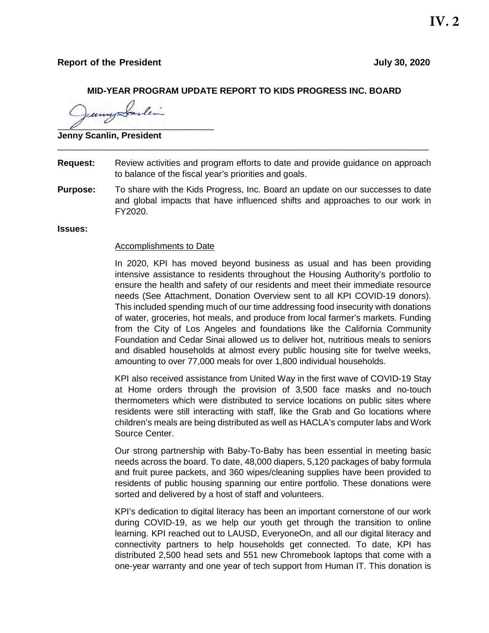### **Report of the President July 30, 2020**

## **MID-YEAR PROGRAM UPDATE REPORT TO KIDS PROGRESS INC. BOARD**

 $\overline{\nu}$ 

**Jenny Scanlin, President** 

**Request:** Review activities and program efforts to date and provide guidance on approach to balance of the fiscal year's priorities and goals.

\_\_\_\_\_\_\_\_\_\_\_\_\_\_\_\_\_\_\_\_\_\_\_\_\_\_\_\_\_\_\_\_\_\_\_\_\_\_\_\_\_\_\_\_\_\_\_\_\_\_\_\_\_\_\_\_\_\_\_\_\_\_\_\_\_\_\_\_\_\_\_\_\_\_\_\_

**Purpose:** To share with the Kids Progress, Inc. Board an update on our successes to date and global impacts that have influenced shifts and approaches to our work in FY2020.

**Issues:**

#### **Accomplishments to Date**

In 2020, KPI has moved beyond business as usual and has been providing intensive assistance to residents throughout the Housing Authority's portfolio to ensure the health and safety of our residents and meet their immediate resource needs (See Attachment, Donation Overview sent to all KPI COVID-19 donors). This included spending much of our time addressing food insecurity with donations of water, groceries, hot meals, and produce from local farmer's markets. Funding from the City of Los Angeles and foundations like the California Community Foundation and Cedar Sinai allowed us to deliver hot, nutritious meals to seniors and disabled households at almost every public housing site for twelve weeks, amounting to over 77,000 meals for over 1,800 individual households.

KPI also received assistance from United Way in the first wave of COVID-19 Stay at Home orders through the provision of 3,500 face masks and no-touch thermometers which were distributed to service locations on public sites where residents were still interacting with staff, like the Grab and Go locations where children's meals are being distributed as well as HACLA's computer labs and Work Source Center.

Our strong partnership with Baby-To-Baby has been essential in meeting basic needs across the board. To date, 48,000 diapers, 5,120 packages of baby formula and fruit puree packets, and 360 wipes/cleaning supplies have been provided to residents of public housing spanning our entire portfolio. These donations were sorted and delivered by a host of staff and volunteers.

KPI's dedication to digital literacy has been an important cornerstone of our work during COVID-19, as we help our youth get through the transition to online learning. KPI reached out to LAUSD, EveryoneOn, and all our digital literacy and connectivity partners to help households get connected. To date, KPI has distributed 2,500 head sets and 551 new Chromebook laptops that come with a one-year warranty and one year of tech support from Human IT. This donation is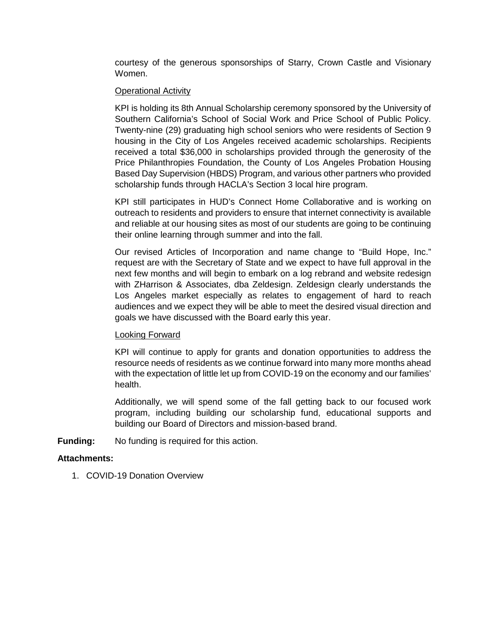courtesy of the generous sponsorships of Starry, Crown Castle and Visionary Women.

#### Operational Activity

KPI is holding its 8th Annual Scholarship ceremony sponsored by the University of Southern California's School of Social Work and Price School of Public Policy. Twenty-nine (29) graduating high school seniors who were residents of Section 9 housing in the City of Los Angeles received academic scholarships. Recipients received a total \$36,000 in scholarships provided through the generosity of the Price Philanthropies Foundation, the County of Los Angeles Probation Housing Based Day Supervision (HBDS) Program, and various other partners who provided scholarship funds through HACLA's Section 3 local hire program.

KPI still participates in HUD's Connect Home Collaborative and is working on outreach to residents and providers to ensure that internet connectivity is available and reliable at our housing sites as most of our students are going to be continuing their online learning through summer and into the fall.

Our revised Articles of Incorporation and name change to "Build Hope, Inc." request are with the Secretary of State and we expect to have full approval in the next few months and will begin to embark on a log rebrand and website redesign with ZHarrison & Associates, dba Zeldesign. Zeldesign clearly understands the Los Angeles market especially as relates to engagement of hard to reach audiences and we expect they will be able to meet the desired visual direction and goals we have discussed with the Board early this year.

#### Looking Forward

KPI will continue to apply for grants and donation opportunities to address the resource needs of residents as we continue forward into many more months ahead with the expectation of little let up from COVID-19 on the economy and our families' health.

Additionally, we will spend some of the fall getting back to our focused work program, including building our scholarship fund, educational supports and building our Board of Directors and mission-based brand.

**Funding:** No funding is required for this action.

## **Attachments:**

1. COVID-19 Donation Overview